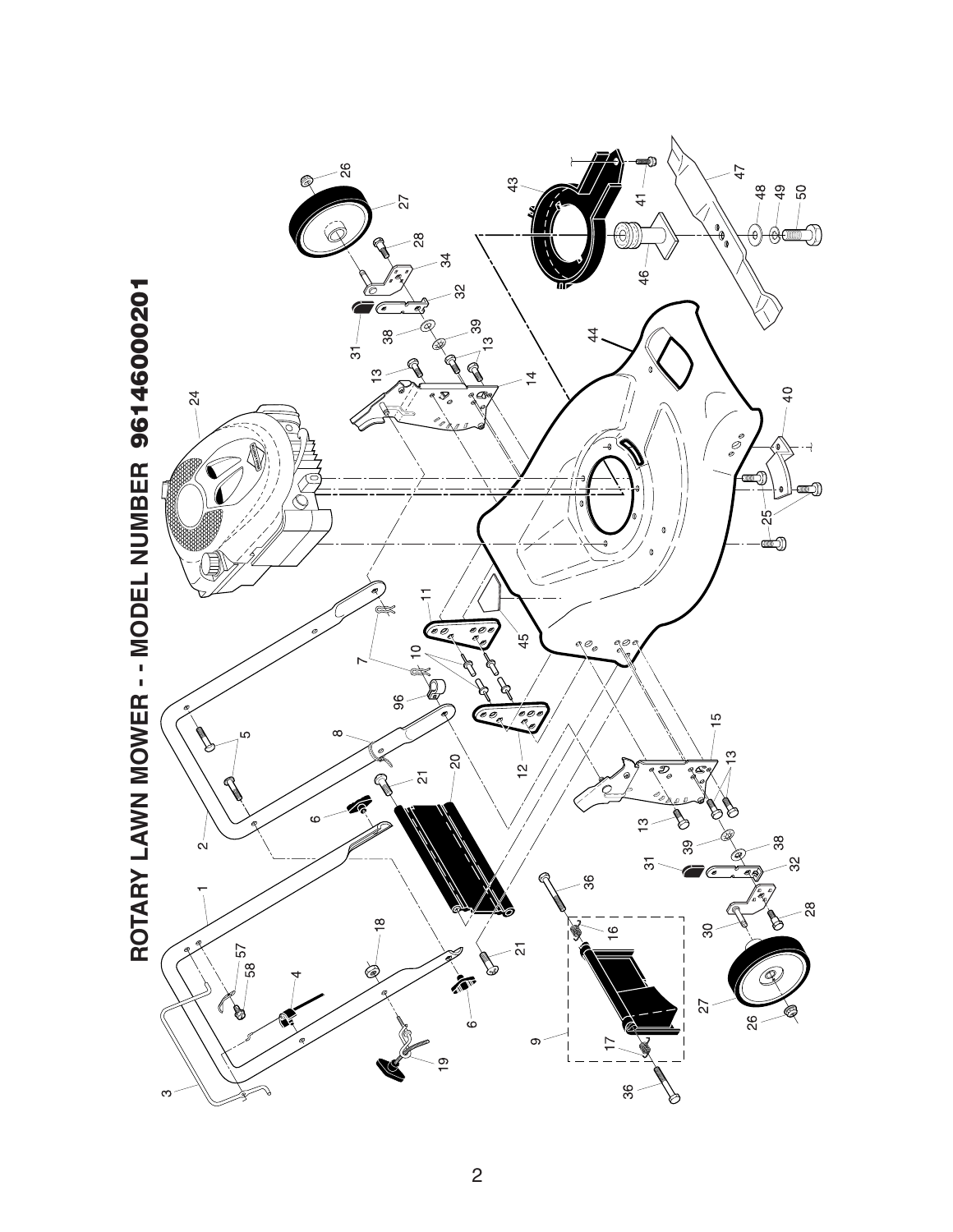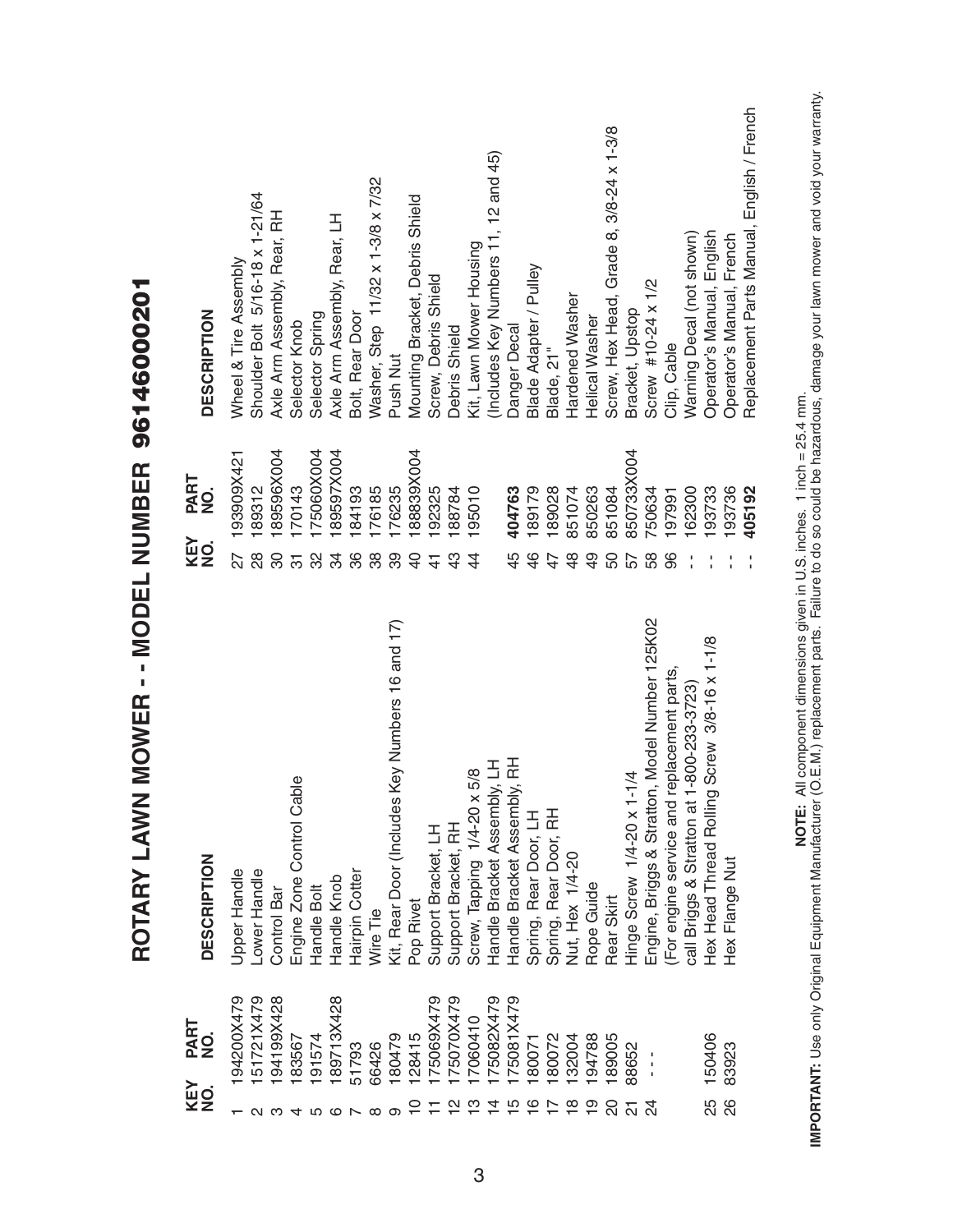|                    |                                          | N MOWER - - MODEL NUMBER 96146000201<br>ROTARY LAW |                |             |                                            |
|--------------------|------------------------------------------|----------------------------------------------------|----------------|-------------|--------------------------------------------|
|                    | PART<br>$\dot{\mathbf{z}}$<br>KEY<br>NO. | <b>DESCRIPTION</b>                                 | KEY<br>NO.     | PART<br>NO. | <b>DESCRIPTION</b>                         |
|                    | 94200X479                                | Upper Handle                                       | 27             | 193909X421  | Wheel & Tire Assembly                      |
|                    | 51721X479                                | Lower Handle                                       | 28             | 189312      | Shoulder Bolt 5/16-18 x 1-21/64            |
|                    | 194199X428                               | Control Bar                                        | 80             | 89596X004   | Axle Arm Assembly, Rear, RH                |
|                    | 183567                                   | able<br>Engine Zone Control C                      | 5              | 170143      | Selector Knob                              |
|                    | 91574                                    | Handle Bolt                                        | 32             | 75060X004   | Selector Spring                            |
|                    | 189713X428                               | Handle Knob                                        | 34             | 89597X004   | Axle Arm Assembly, Rear, LH                |
|                    | 51793                                    | Hairpin Cotter                                     | 86             | 184193      | Bolt, Rear Door                            |
|                    | 66426                                    | Wire Tie                                           | 38             | 76185       | Washer, Step 11/32 x 1-3/8 x 7/32          |
|                    | 180479                                   | Kit, Rear Door (Includes Key Numbers 16 and 17)    | 39             | 76235       | Push Nut                                   |
|                    | 128415                                   | Pop Rivet                                          | $\overline{Q}$ | 88839X004   | Mounting Bracket, Debris Shield            |
|                    | 75069X479                                | Support Bracket, LH                                | $\frac{4}{3}$  | 92325       | Screw, Debris Shield                       |
| $\frac{N}{L}$      | I75070X479                               | Support Bracket, RH                                | $\frac{3}{4}$  | 88784       | Debris Shield                              |
| $\frac{3}{2}$      | 17060410                                 | Screw, Tapping 1/4-20 x 5/8                        | $\overline{4}$ | 195010      | Kit, Lawn Mower Housing                    |
| ュ                  | 75082X479                                | Handle Bracket Assembly, LH                        |                |             | (Includes Key Numbers 11, 12 and 45)       |
| $\overline{5}$     | I75081X479                               | Handle Bracket Assembly, RH                        | 45             | 404763      | Danger Decal                               |
| $\frac{6}{1}$      | 180071                                   | Spring, Rear Door, LH                              | 46             | 189179      | Blade Adapter / Pulley                     |
|                    | 80072                                    | Spring, Rear Door, RH                              | 47             | 189028      | Blade, 21"                                 |
| $\frac{\infty}{2}$ | 132004                                   | Nut, Hex 1/4-20                                    | $\frac{8}{4}$  | 851074      | Hardened Washer                            |
| $\overline{0}$     | 194788                                   | Rope Guide                                         | $\frac{9}{4}$  | 850263      | Helical Washer                             |
| 20                 | 189005                                   | Rear Skirt                                         | 50             | 851084      | Screw, Hex Head, Grade 8, 3/8-24 x 1-3/8   |
|                    | 88652                                    | $1 - 1/4$<br>Hinge Screw 1/4-20 x                  | 57             | 850733X004  | Bracket, Upstop                            |
|                    | $\frac{1}{1}$                            | Engine, Briggs & Stratton, Model Number 125K02     | 58             | 750634      | Screw #10-24 x 1/2                         |
|                    |                                          | For engine service and replacement parts           | 96             | 197991      | Clip, Cable                                |
|                    |                                          | call Briggs & Stratton at 1-800-233-3723)          |                | 62300       | Warning Decal (not shown)                  |
| 25                 | 150406                                   | Hex Head Thread Rolling Screw 3/8-16 x 1-1/8       |                | 93733       | Operator's Manual, English                 |
| 88                 | 83923                                    | Hex Flange Nut                                     |                | 93736       | Operator's Manual, French                  |
|                    |                                          |                                                    |                | 405192      | Replacement Parts Manual, English / French |

**IMPORTANT:** Use only Original Equipment Manufacturer (O.E.M.) replacement parts. Failure to do so could be hazardous, damage your lawn mower and void your warranty.<br>IMPORTANT: Use only Original Equipment Manufacturer (O.E **IMPORTANT:** Use only Original Equipment Manufacturer (O.E.M.) replacement parts. Failure to do so could be hazardous, damage your lawn mower and void your warranty.**NOTE:** All component dimensions given in U.S. inches. 1 inch = 25.4 mm.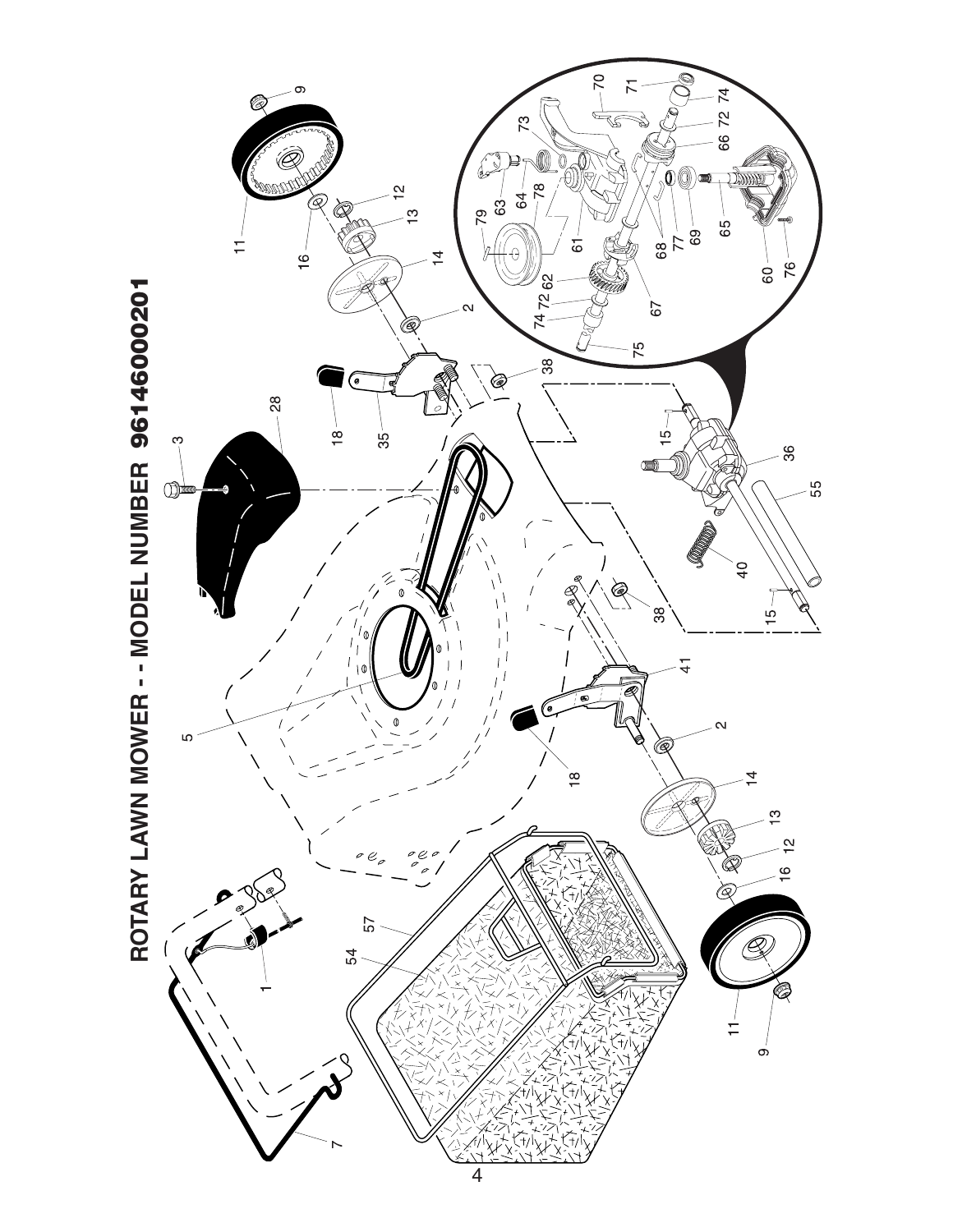